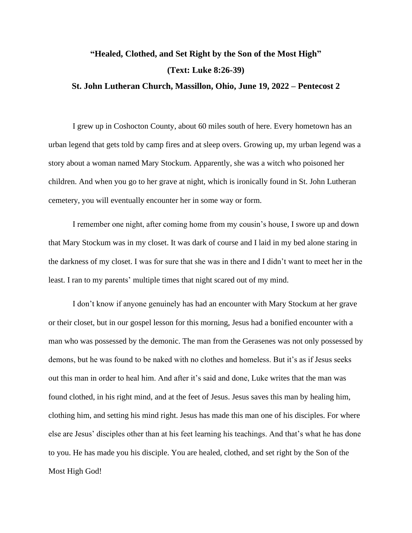## **"Healed, Clothed, and Set Right by the Son of the Most High" (Text: Luke 8:26-39)**

## **St. John Lutheran Church, Massillon, Ohio, June 19, 2022 – Pentecost 2**

I grew up in Coshocton County, about 60 miles south of here. Every hometown has an urban legend that gets told by camp fires and at sleep overs. Growing up, my urban legend was a story about a woman named Mary Stockum. Apparently, she was a witch who poisoned her children. And when you go to her grave at night, which is ironically found in St. John Lutheran cemetery, you will eventually encounter her in some way or form.

I remember one night, after coming home from my cousin's house, I swore up and down that Mary Stockum was in my closet. It was dark of course and I laid in my bed alone staring in the darkness of my closet. I was for sure that she was in there and I didn't want to meet her in the least. I ran to my parents' multiple times that night scared out of my mind.

I don't know if anyone genuinely has had an encounter with Mary Stockum at her grave or their closet, but in our gospel lesson for this morning, Jesus had a bonified encounter with a man who was possessed by the demonic. The man from the Gerasenes was not only possessed by demons, but he was found to be naked with no clothes and homeless. But it's as if Jesus seeks out this man in order to heal him. And after it's said and done, Luke writes that the man was found clothed, in his right mind, and at the feet of Jesus. Jesus saves this man by healing him, clothing him, and setting his mind right. Jesus has made this man one of his disciples. For where else are Jesus' disciples other than at his feet learning his teachings. And that's what he has done to you. He has made you his disciple. You are healed, clothed, and set right by the Son of the Most High God!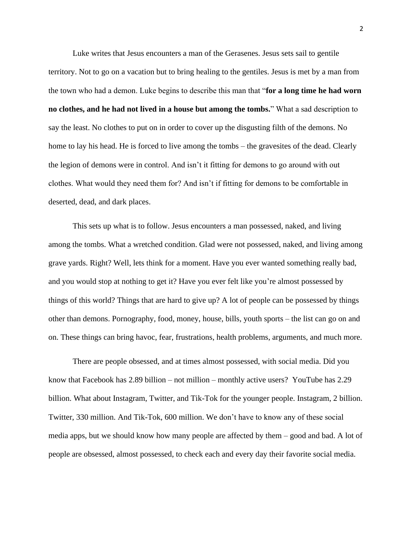Luke writes that Jesus encounters a man of the Gerasenes. Jesus sets sail to gentile territory. Not to go on a vacation but to bring healing to the gentiles. Jesus is met by a man from the town who had a demon. Luke begins to describe this man that "**for a long time he had worn no clothes, and he had not lived in a house but among the tombs.**" What a sad description to say the least. No clothes to put on in order to cover up the disgusting filth of the demons. No home to lay his head. He is forced to live among the tombs – the gravesites of the dead. Clearly the legion of demons were in control. And isn't it fitting for demons to go around with out clothes. What would they need them for? And isn't if fitting for demons to be comfortable in deserted, dead, and dark places.

This sets up what is to follow. Jesus encounters a man possessed, naked, and living among the tombs. What a wretched condition. Glad were not possessed, naked, and living among grave yards. Right? Well, lets think for a moment. Have you ever wanted something really bad, and you would stop at nothing to get it? Have you ever felt like you're almost possessed by things of this world? Things that are hard to give up? A lot of people can be possessed by things other than demons. Pornography, food, money, house, bills, youth sports – the list can go on and on. These things can bring havoc, fear, frustrations, health problems, arguments, and much more.

There are people obsessed, and at times almost possessed, with social media. Did you know that Facebook has 2.89 billion – not million – monthly active users? YouTube has 2.29 billion. What about Instagram, Twitter, and Tik-Tok for the younger people. Instagram, 2 billion. Twitter, 330 million. And Tik-Tok, 600 million. We don't have to know any of these social media apps, but we should know how many people are affected by them – good and bad. A lot of people are obsessed, almost possessed, to check each and every day their favorite social media.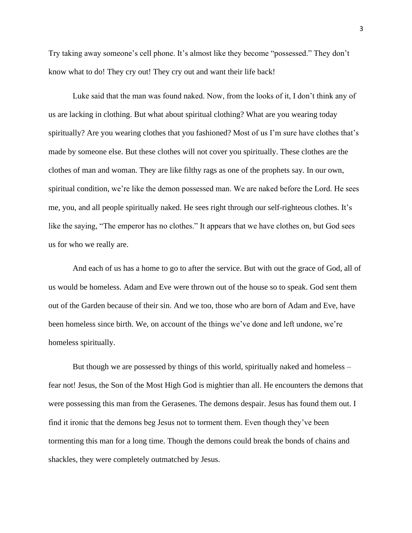Try taking away someone's cell phone. It's almost like they become "possessed." They don't know what to do! They cry out! They cry out and want their life back!

Luke said that the man was found naked. Now, from the looks of it, I don't think any of us are lacking in clothing. But what about spiritual clothing? What are you wearing today spiritually? Are you wearing clothes that you fashioned? Most of us I'm sure have clothes that's made by someone else. But these clothes will not cover you spiritually. These clothes are the clothes of man and woman. They are like filthy rags as one of the prophets say. In our own, spiritual condition, we're like the demon possessed man. We are naked before the Lord. He sees me, you, and all people spiritually naked. He sees right through our self-righteous clothes. It's like the saying, "The emperor has no clothes." It appears that we have clothes on, but God sees us for who we really are.

And each of us has a home to go to after the service. But with out the grace of God, all of us would be homeless. Adam and Eve were thrown out of the house so to speak. God sent them out of the Garden because of their sin. And we too, those who are born of Adam and Eve, have been homeless since birth. We, on account of the things we've done and left undone, we're homeless spiritually.

But though we are possessed by things of this world, spiritually naked and homeless – fear not! Jesus, the Son of the Most High God is mightier than all. He encounters the demons that were possessing this man from the Gerasenes. The demons despair. Jesus has found them out. I find it ironic that the demons beg Jesus not to torment them. Even though they've been tormenting this man for a long time. Though the demons could break the bonds of chains and shackles, they were completely outmatched by Jesus.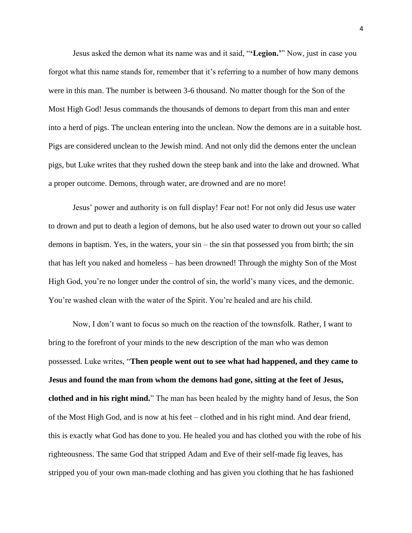Jesus asked the demon what its name was and it said, "**'Legion.'**" Now, just in case you forgot what this name stands for, remember that it's referring to a number of how many demons were in this man. The number is between 3-6 thousand. No matter though for the Son of the Most High God! Jesus commands the thousands of demons to depart from this man and enter into a herd of pigs. The unclean entering into the unclean. Now the demons are in a suitable host. Pigs are considered unclean to the Jewish mind. And not only did the demons enter the unclean pigs, but Luke writes that they rushed down the steep bank and into the lake and drowned. What a proper outcome. Demons, through water, are drowned and are no more!

Jesus' power and authority is on full display! Fear not! For not only did Jesus use water to drown and put to death a legion of demons, but he also used water to drown out your so called demons in baptism. Yes, in the waters, your sin – the sin that possessed you from birth; the sin that has left you naked and homeless – has been drowned! Through the mighty Son of the Most High God, you're no longer under the control of sin, the world's many vices, and the demonic. You're washed clean with the water of the Spirit. You're healed and are his child.

Now, I don't want to focus so much on the reaction of the townsfolk. Rather, I want to bring to the forefront of your minds to the new description of the man who was demon possessed. Luke writes, "**Then people went out to see what had happened, and they came to Jesus and found the man from whom the demons had gone, sitting at the feet of Jesus, clothed and in his right mind.**" The man has been healed by the mighty hand of Jesus, the Son of the Most High God, and is now at his feet – clothed and in his right mind. And dear friend, this is exactly what God has done to you. He healed you and has clothed you with the robe of his righteousness. The same God that stripped Adam and Eve of their self-made fig leaves, has stripped you of your own man-made clothing and has given you clothing that he has fashioned